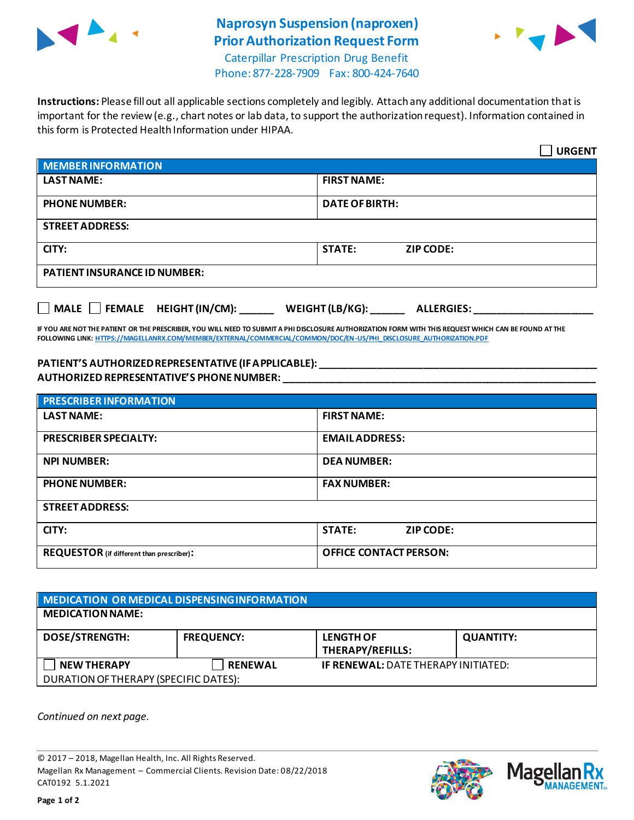

## **Naprosyn Suspension (naproxen) Prior Authorization Request Form**



Caterpillar Prescription Drug Benefit Phone: 877-228-7909 Fax: 800-424-7640

**Instructions:** Please fill out all applicable sections completely and legibly. Attach any additional documentation that is important for the review (e.g., chart notes or lab data, to support the authorization request). Information contained in this form is Protected Health Information under HIPAA.

|                                                                                          | <b>URGENT</b>                     |  |  |
|------------------------------------------------------------------------------------------|-----------------------------------|--|--|
| <b>MEMBER INFORMATION</b>                                                                |                                   |  |  |
| <b>LAST NAME:</b>                                                                        | <b>FIRST NAME:</b>                |  |  |
| <b>PHONE NUMBER:</b>                                                                     | <b>DATE OF BIRTH:</b>             |  |  |
| <b>STREET ADDRESS:</b>                                                                   |                                   |  |  |
| CITY:                                                                                    | <b>STATE:</b><br><b>ZIP CODE:</b> |  |  |
| <b>PATIENT INSURANCE ID NUMBER:</b>                                                      |                                   |  |  |
| $\Box$ MALE $\Box$ FEMALE HEIGHT (IN/CM): ______<br>WEIGHT (LB/KG):<br><b>ALLERGIES:</b> |                                   |  |  |

**IF YOU ARE NOT THE PATIENT OR THE PRESCRIBER, YOU WILL NEED TO SUBMIT A PHI DISCLOSURE AUTHORIZATION FORM WITH THIS REQUEST WHICH CAN BE FOUND AT THE FOLLOWING LINK[: HTTPS://MAGELLANRX.COM/MEMBER/EXTERNAL/COMMERCIAL/COMMON/DOC/EN-US/PHI\\_DISCLOSURE\\_AUTHORIZATION.PDF](https://magellanrx.com/member/external/commercial/common/doc/en-us/PHI_Disclosure_Authorization.pdf)**

## **PATIENT'S AUTHORIZED REPRESENTATIVE (IF APPLICABLE): \_\_\_\_\_\_\_\_\_\_\_\_\_\_\_\_\_\_\_\_\_\_\_\_\_\_\_\_\_\_\_\_\_\_\_\_\_\_\_\_\_\_\_\_\_\_\_\_\_ AUTHORIZED REPRESENTATIVE'S PHONE NUMBER: \_\_\_\_\_\_\_\_\_\_\_\_\_\_\_\_\_\_\_\_\_\_\_\_\_\_\_\_\_\_\_\_\_\_\_\_\_\_\_\_\_\_\_\_\_\_\_\_\_\_\_\_\_\_\_**

| <b>PRESCRIBER INFORMATION</b>             |                               |  |  |
|-------------------------------------------|-------------------------------|--|--|
| <b>LAST NAME:</b>                         | <b>FIRST NAME:</b>            |  |  |
| <b>PRESCRIBER SPECIALTY:</b>              | <b>EMAIL ADDRESS:</b>         |  |  |
| <b>NPI NUMBER:</b>                        | <b>DEA NUMBER:</b>            |  |  |
| <b>PHONE NUMBER:</b>                      | <b>FAX NUMBER:</b>            |  |  |
| <b>STREET ADDRESS:</b>                    |                               |  |  |
| CITY:                                     | <b>STATE:</b><br>ZIP CODE:    |  |  |
| REQUESTOR (if different than prescriber): | <b>OFFICE CONTACT PERSON:</b> |  |  |

| MEDICATION OR MEDICAL DISPENSING INFORMATION |                   |                                            |                  |  |  |
|----------------------------------------------|-------------------|--------------------------------------------|------------------|--|--|
| <b>MEDICATION NAME:</b>                      |                   |                                            |                  |  |  |
| <b>DOSE/STRENGTH:</b>                        | <b>FREQUENCY:</b> | <b>LENGTH OF</b><br>THERAPY/REFILLS:       | <b>QUANTITY:</b> |  |  |
| <b>NEW THERAPY</b>                           | <b>RENEWAL</b>    | <b>IF RENEWAL: DATE THERAPY INITIATED:</b> |                  |  |  |
| DURATION OF THERAPY (SPECIFIC DATES):        |                   |                                            |                  |  |  |

*Continued on next page.*

© 2017 – 2018, Magellan Health, Inc. All Rights Reserved. Magellan Rx Management – Commercial Clients. Revision Date: 08/22/2018 CAT0192 5.1.2021